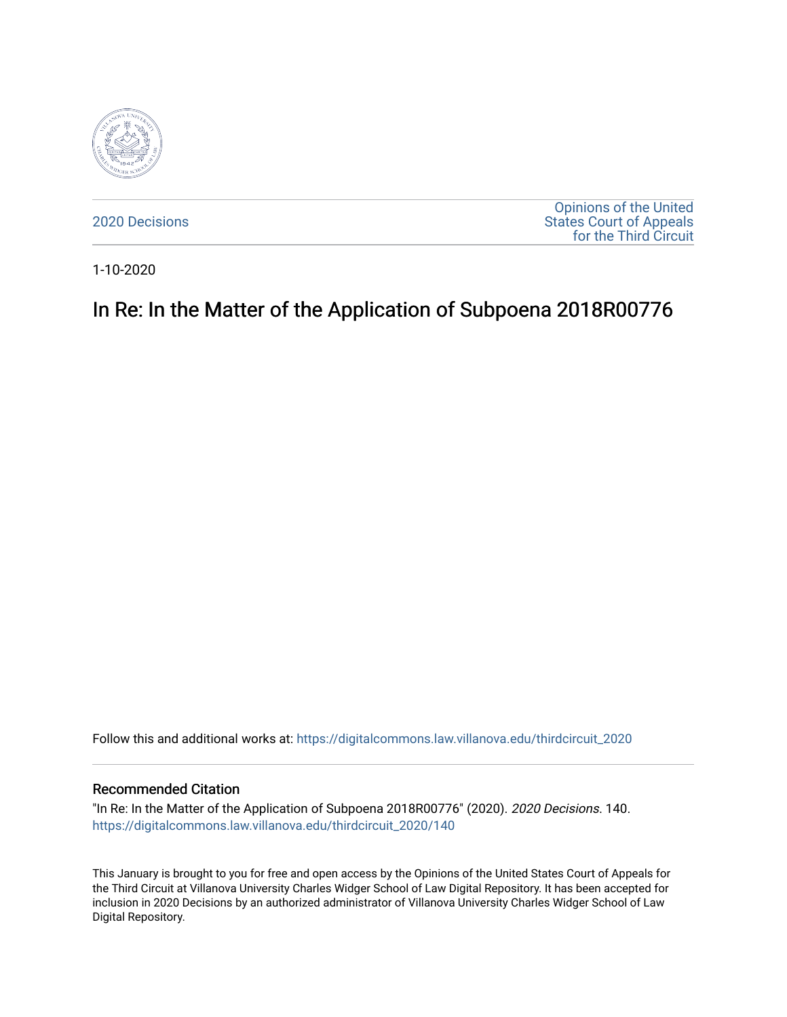

[2020 Decisions](https://digitalcommons.law.villanova.edu/thirdcircuit_2020)

[Opinions of the United](https://digitalcommons.law.villanova.edu/thirdcircuit)  [States Court of Appeals](https://digitalcommons.law.villanova.edu/thirdcircuit)  [for the Third Circuit](https://digitalcommons.law.villanova.edu/thirdcircuit) 

1-10-2020

# In Re: In the Matter of the Application of Subpoena 2018R00776

Follow this and additional works at: [https://digitalcommons.law.villanova.edu/thirdcircuit\\_2020](https://digitalcommons.law.villanova.edu/thirdcircuit_2020?utm_source=digitalcommons.law.villanova.edu%2Fthirdcircuit_2020%2F140&utm_medium=PDF&utm_campaign=PDFCoverPages) 

#### Recommended Citation

"In Re: In the Matter of the Application of Subpoena 2018R00776" (2020). 2020 Decisions. 140. [https://digitalcommons.law.villanova.edu/thirdcircuit\\_2020/140](https://digitalcommons.law.villanova.edu/thirdcircuit_2020/140?utm_source=digitalcommons.law.villanova.edu%2Fthirdcircuit_2020%2F140&utm_medium=PDF&utm_campaign=PDFCoverPages)

This January is brought to you for free and open access by the Opinions of the United States Court of Appeals for the Third Circuit at Villanova University Charles Widger School of Law Digital Repository. It has been accepted for inclusion in 2020 Decisions by an authorized administrator of Villanova University Charles Widger School of Law Digital Repository.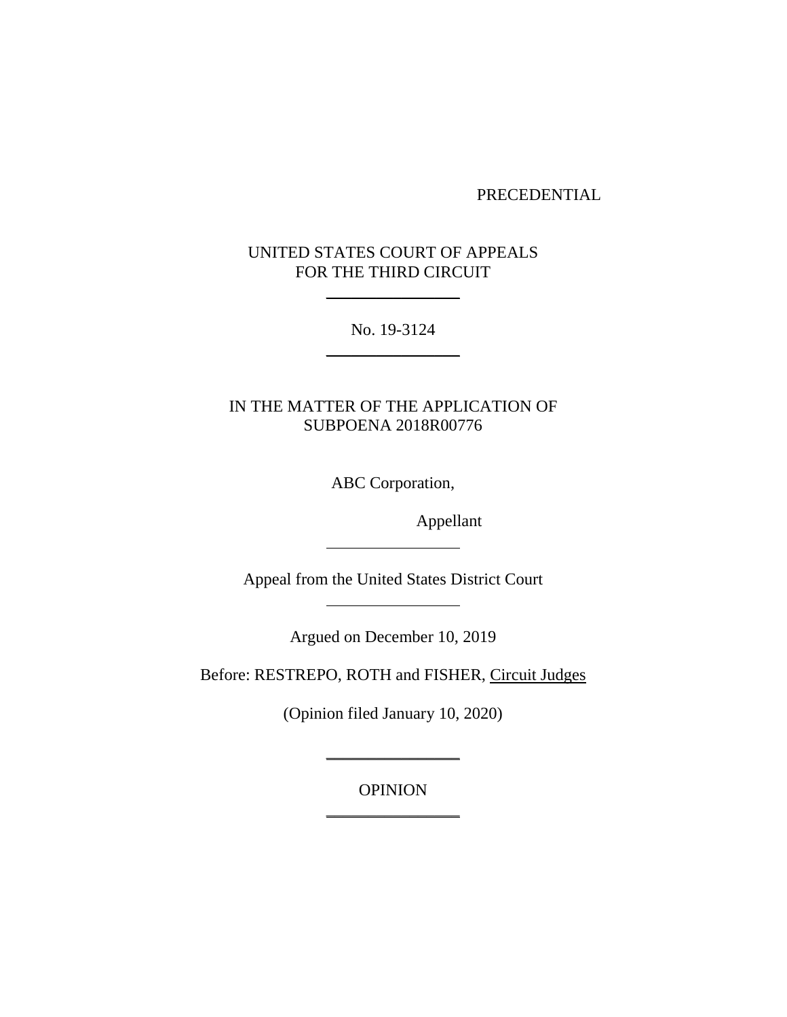## PRECEDENTIAL

# UNITED STATES COURT OF APPEALS FOR THE THIRD CIRCUIT

\_\_\_\_\_\_\_\_\_\_\_\_\_\_\_\_

No. 19-3124 \_\_\_\_\_\_\_\_\_\_\_\_\_\_\_\_

IN THE MATTER OF THE APPLICATION OF SUBPOENA 2018R00776

ABC Corporation,

Appellant

Appeal from the United States District Court

Argued on December 10, 2019

Before: RESTREPO, ROTH and FISHER, Circuit Judges

(Opinion filed January 10, 2020)

\_\_\_\_\_\_\_\_\_\_\_\_\_\_\_\_

OPINION \_\_\_\_\_\_\_\_\_\_\_\_\_\_\_\_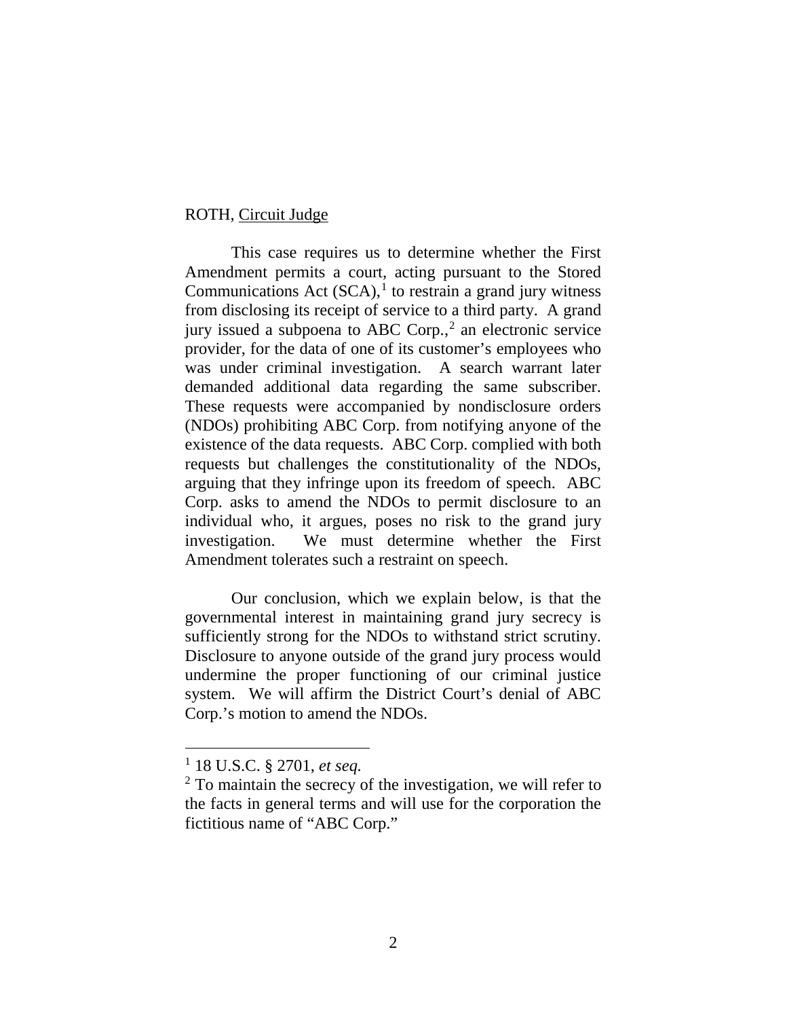## ROTH, Circuit Judge

This case requires us to determine whether the First Amendment permits a court, acting pursuant to the Stored Communications Act  $(SCA)$ ,<sup>1</sup> to restrain a grand jury witness from disclosing its receipt of service to a third party. A grand jury issued a subpoena to ABC Corp., <sup>2</sup> an electronic service provider, for the data of one of its customer's employees who was under criminal investigation. A search warrant later demanded additional data regarding the same subscriber. These requests were accompanied by nondisclosure orders (NDOs) prohibiting ABC Corp. from notifying anyone of the existence of the data requests. ABC Corp. complied with both requests but challenges the constitutionality of the NDOs, arguing that they infringe upon its freedom of speech. ABC Corp. asks to amend the NDOs to permit disclosure to an individual who, it argues, poses no risk to the grand jury investigation. We must determine whether the First Amendment tolerates such a restraint on speech.

Our conclusion, which we explain below, is that the governmental interest in maintaining grand jury secrecy is sufficiently strong for the NDOs to withstand strict scrutiny. Disclosure to anyone outside of the grand jury process would undermine the proper functioning of our criminal justice system. We will affirm the District Court's denial of ABC Corp.'s motion to amend the NDOs.

 <sup>1</sup> 18 U.S.C. § 2701, *et seq.*

<sup>&</sup>lt;sup>2</sup> To maintain the secrecy of the investigation, we will refer to the facts in general terms and will use for the corporation the fictitious name of "ABC Corp."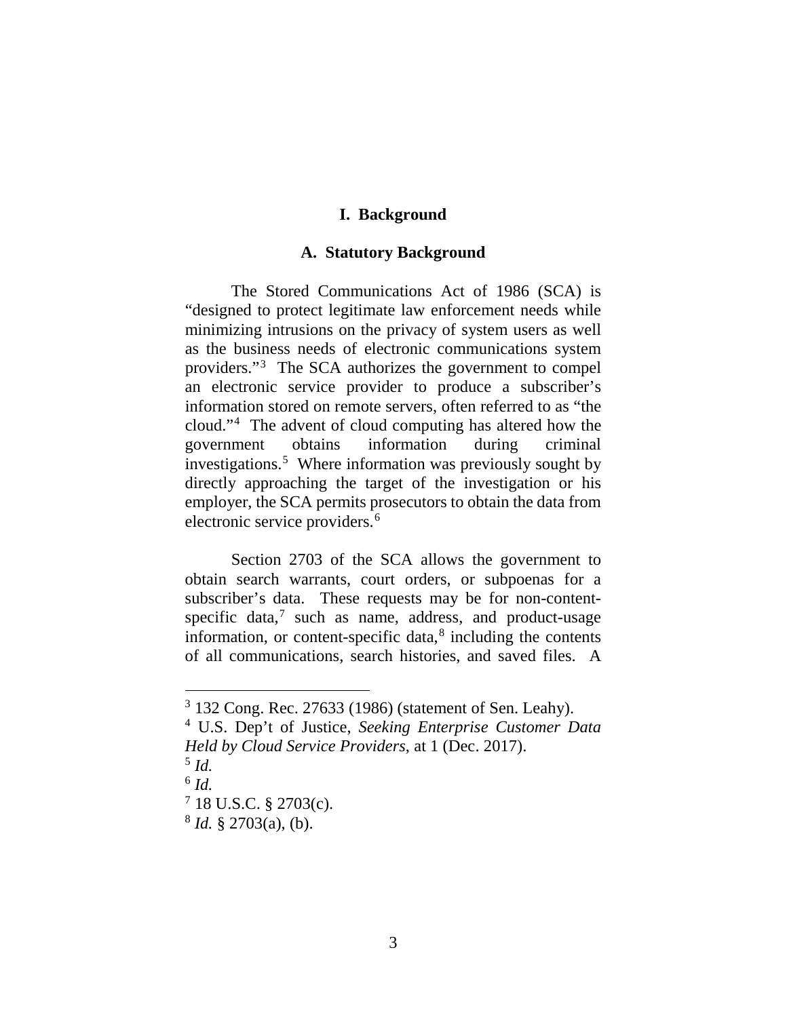# **I. Background**

#### **A. Statutory Background**

The Stored Communications Act of 1986 (SCA) is "designed to protect legitimate law enforcement needs while minimizing intrusions on the privacy of system users as well as the business needs of electronic communications system providers."<sup>3</sup> The SCA authorizes the government to compel an electronic service provider to produce a subscriber's information stored on remote servers, often referred to as "the cloud."4 The advent of cloud computing has altered how the government obtains information during criminal investigations.5 Where information was previously sought by directly approaching the target of the investigation or his employer, the SCA permits prosecutors to obtain the data from electronic service providers.<sup>6</sup>

Section 2703 of the SCA allows the government to obtain search warrants, court orders, or subpoenas for a subscriber's data. These requests may be for non-contentspecific data, $<sup>7</sup>$  such as name, address, and product-usage</sup> information, or content-specific data, <sup>8</sup> including the contents of all communications, search histories, and saved files. A

 <sup>3</sup> 132 Cong. Rec. 27633 (1986) (statement of Sen. Leahy).

<sup>4</sup> U.S. Dep't of Justice, *Seeking Enterprise Customer Data Held by Cloud Service Providers*, at 1 (Dec. 2017).

<sup>&</sup>lt;sup>5</sup> *Id.*<br><sup>6</sup> *Id.*<br><sup>7</sup> 18 U.S.C. § 2703(c).

 $8$  *Id.* § 2703(a), (b).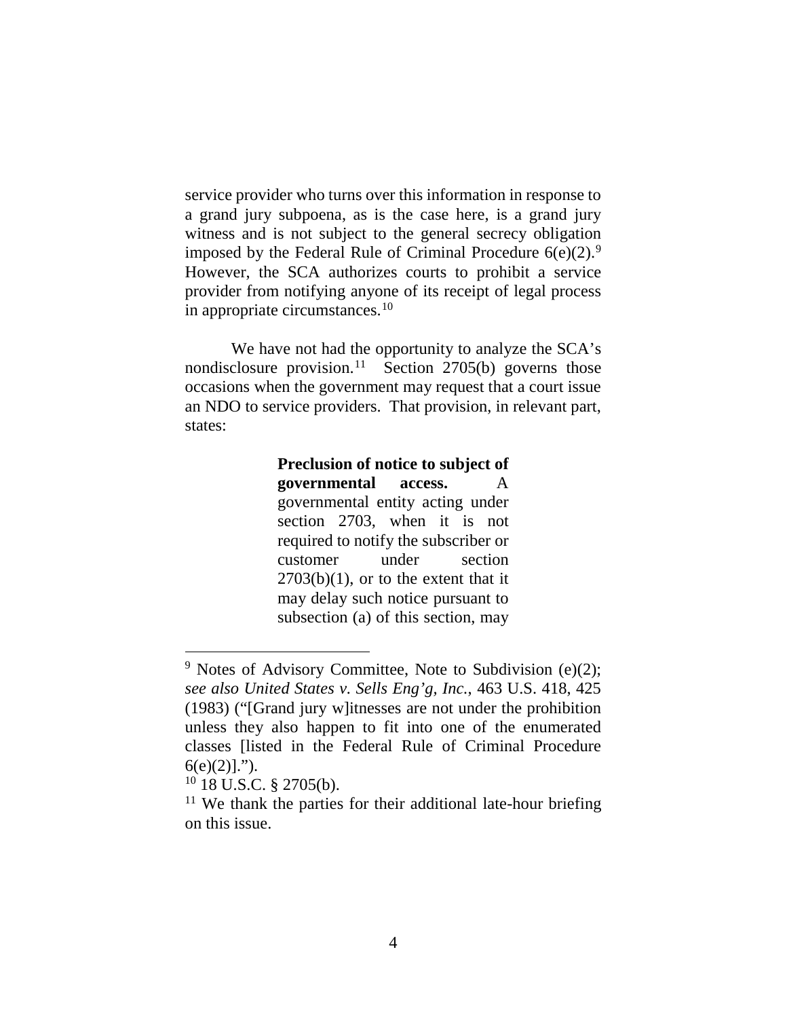service provider who turns over this information in response to a grand jury subpoena, as is the case here, is a grand jury witness and is not subject to the general secrecy obligation imposed by the Federal Rule of Criminal Procedure  $6(e)(2)$ .<sup>9</sup> However, the SCA authorizes courts to prohibit a service provider from notifying anyone of its receipt of legal process in appropriate circumstances. 10

We have not had the opportunity to analyze the SCA's nondisclosure provision.<sup>11</sup> Section 2705(b) governs those occasions when the government may request that a court issue an NDO to service providers. That provision, in relevant part, states:

> **Preclusion of notice to subject of governmental access.** A governmental entity acting under section 2703, when it is not required to notify the subscriber or customer under section  $2703(b)(1)$ , or to the extent that it may delay such notice pursuant to subsection (a) of this section, may

<sup>&</sup>lt;sup>9</sup> Notes of Advisory Committee, Note to Subdivision (e)(2); *see also United States v. Sells Eng'g, Inc.*, 463 U.S. 418, 425 (1983) ("[Grand jury w]itnesses are not under the prohibition unless they also happen to fit into one of the enumerated classes [listed in the Federal Rule of Criminal Procedure  $6(e)(2)]$ .").

 $10$  18 U.S.C. § 2705(b).

 $11$  We thank the parties for their additional late-hour briefing on this issue.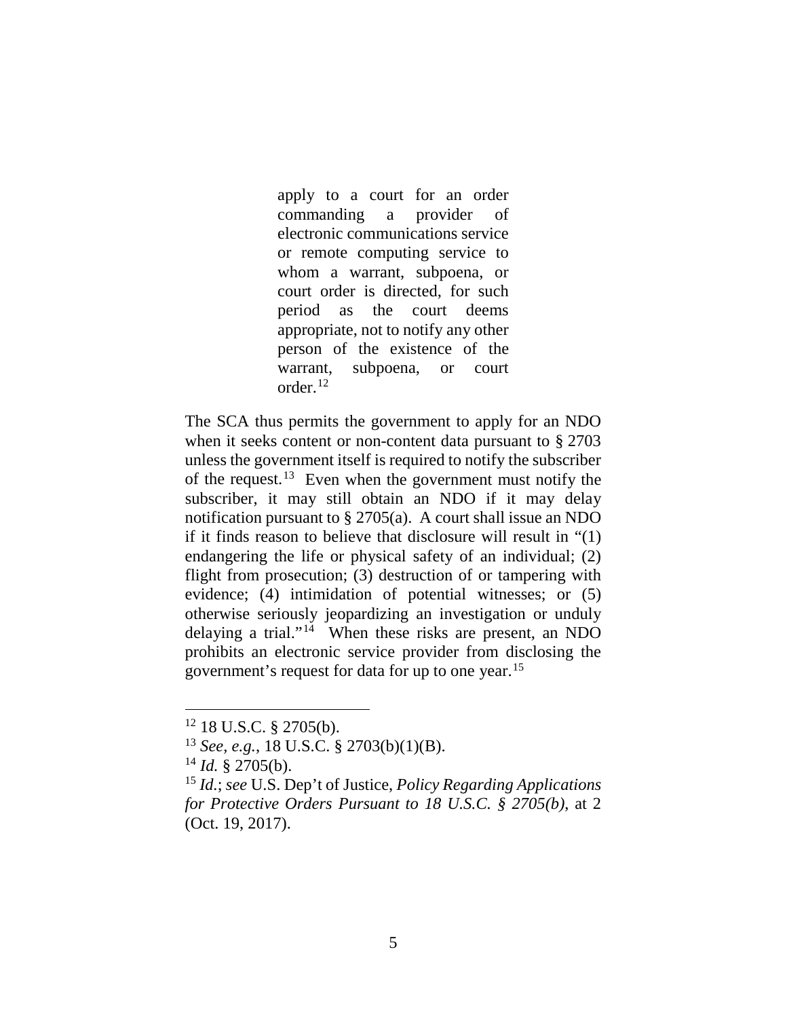apply to a court for an order commanding a provider of electronic communications service or remote computing service to whom a warrant, subpoena, or court order is directed, for such period as the court deems appropriate, not to notify any other person of the existence of the warrant, subpoena, or court order.12

The SCA thus permits the government to apply for an NDO when it seeks content or non-content data pursuant to § 2703 unless the government itself is required to notify the subscriber of the request. <sup>13</sup> Even when the government must notify the subscriber, it may still obtain an NDO if it may delay notification pursuant to § 2705(a). A court shall issue an NDO if it finds reason to believe that disclosure will result in "(1) endangering the life or physical safety of an individual; (2) flight from prosecution; (3) destruction of or tampering with evidence; (4) intimidation of potential witnesses; or (5) otherwise seriously jeopardizing an investigation or unduly delaying a trial."14 When these risks are present, an NDO prohibits an electronic service provider from disclosing the government's request for data for up to one year. 15

 <sup>12</sup> 18 U.S.C. § 2705(b).

<sup>13</sup> *See, e.g.*, 18 U.S.C. § 2703(b)(1)(B).

 $^{14}$  *Id.* § 2705(b).

<sup>15</sup> *Id.*; *see* U.S. Dep't of Justice, *Policy Regarding Applications for Protective Orders Pursuant to 18 U.S.C. § 2705(b)*, at 2 (Oct. 19, 2017).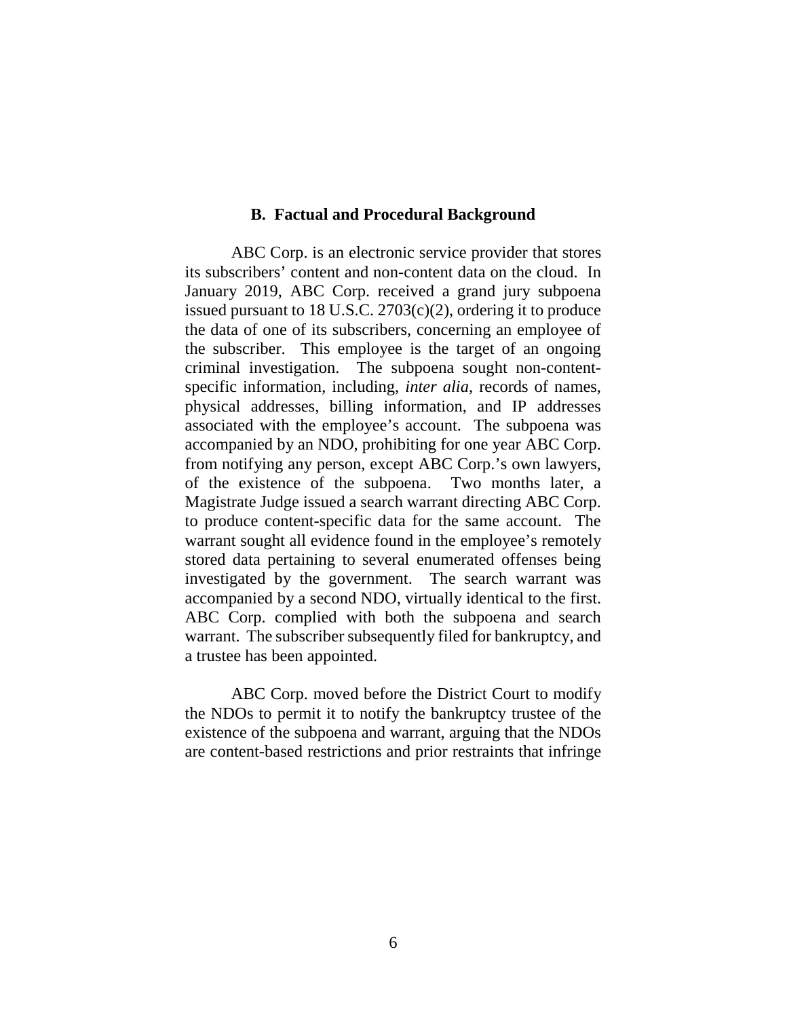#### **B. Factual and Procedural Background**

ABC Corp. is an electronic service provider that stores its subscribers' content and non-content data on the cloud. In January 2019, ABC Corp. received a grand jury subpoena issued pursuant to 18 U.S.C. 2703(c)(2), ordering it to produce the data of one of its subscribers, concerning an employee of the subscriber. This employee is the target of an ongoing criminal investigation. The subpoena sought non-contentspecific information, including, *inter alia*, records of names, physical addresses, billing information, and IP addresses associated with the employee's account. The subpoena was accompanied by an NDO, prohibiting for one year ABC Corp. from notifying any person, except ABC Corp.'s own lawyers, of the existence of the subpoena. Two months later, a Magistrate Judge issued a search warrant directing ABC Corp. to produce content-specific data for the same account. The warrant sought all evidence found in the employee's remotely stored data pertaining to several enumerated offenses being investigated by the government. The search warrant was accompanied by a second NDO, virtually identical to the first. ABC Corp. complied with both the subpoena and search warrant. The subscriber subsequently filed for bankruptcy, and a trustee has been appointed.

ABC Corp. moved before the District Court to modify the NDOs to permit it to notify the bankruptcy trustee of the existence of the subpoena and warrant, arguing that the NDOs are content-based restrictions and prior restraints that infringe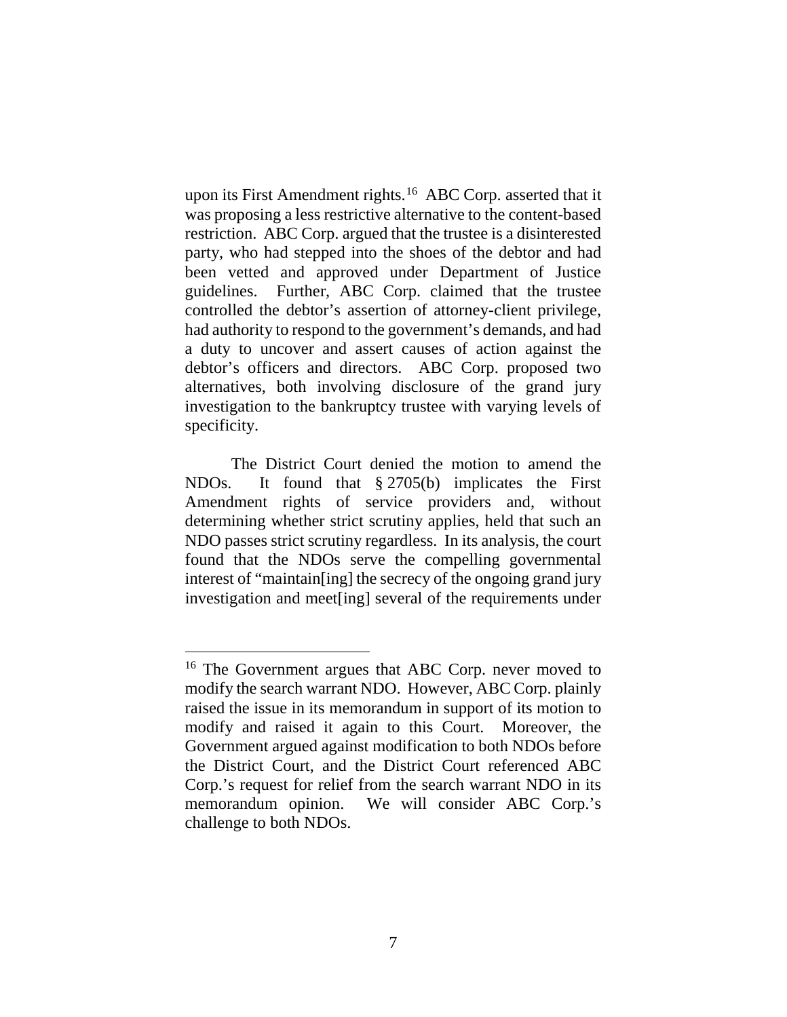upon its First Amendment rights.<sup>16</sup> ABC Corp. asserted that it was proposing a less restrictive alternative to the content-based restriction. ABC Corp. argued that the trustee is a disinterested party, who had stepped into the shoes of the debtor and had been vetted and approved under Department of Justice guidelines. Further, ABC Corp. claimed that the trustee controlled the debtor's assertion of attorney-client privilege, had authority to respond to the government's demands, and had a duty to uncover and assert causes of action against the debtor's officers and directors. ABC Corp. proposed two alternatives, both involving disclosure of the grand jury investigation to the bankruptcy trustee with varying levels of specificity.

The District Court denied the motion to amend the NDOs. It found that § 2705(b) implicates the First Amendment rights of service providers and, without determining whether strict scrutiny applies, held that such an NDO passes strict scrutiny regardless. In its analysis, the court found that the NDOs serve the compelling governmental interest of "maintain[ing] the secrecy of the ongoing grand jury investigation and meet[ing] several of the requirements under

<sup>&</sup>lt;sup>16</sup> The Government argues that ABC Corp. never moved to modify the search warrant NDO. However, ABC Corp. plainly raised the issue in its memorandum in support of its motion to modify and raised it again to this Court. Moreover, the Government argued against modification to both NDOs before the District Court, and the District Court referenced ABC Corp.'s request for relief from the search warrant NDO in its memorandum opinion. We will consider ABC Corp.'s challenge to both NDOs.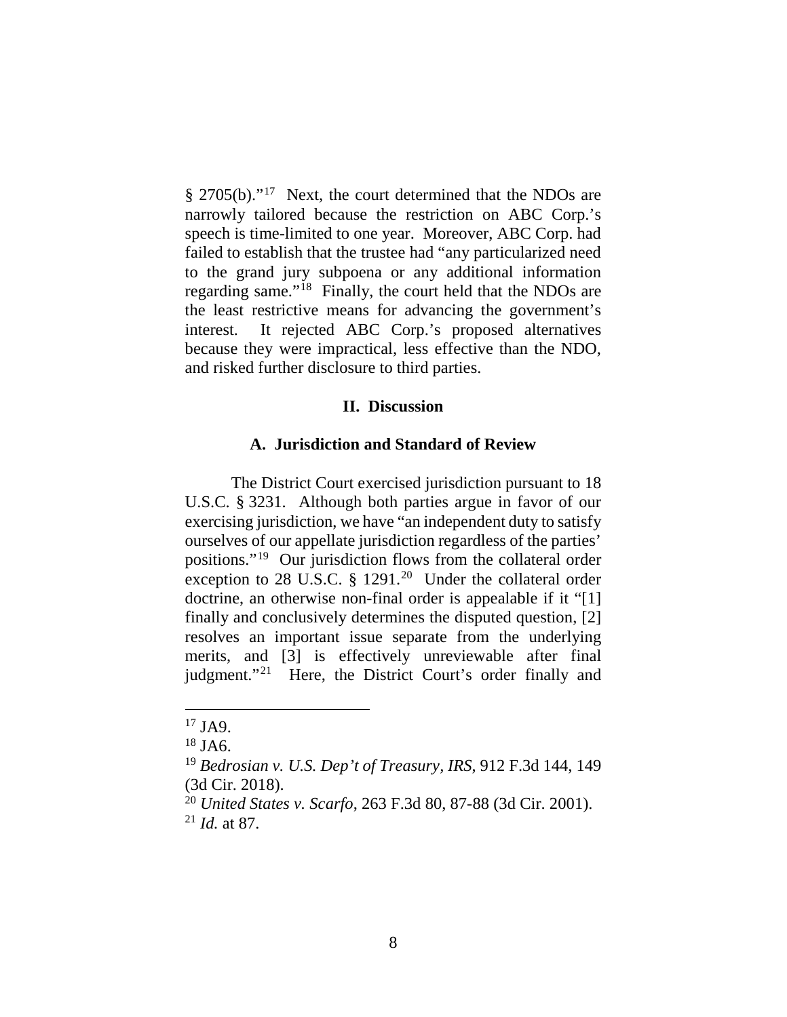§ 2705(b)."17 Next, the court determined that the NDOs are narrowly tailored because the restriction on ABC Corp.'s speech is time-limited to one year. Moreover, ABC Corp. had failed to establish that the trustee had "any particularized need to the grand jury subpoena or any additional information regarding same."18 Finally, the court held that the NDOs are the least restrictive means for advancing the government's interest. It rejected ABC Corp.'s proposed alternatives because they were impractical, less effective than the NDO, and risked further disclosure to third parties.

## **II. Discussion**

#### **A. Jurisdiction and Standard of Review**

The District Court exercised jurisdiction pursuant to 18 U.S.C. § 3231. Although both parties argue in favor of our exercising jurisdiction, we have "an independent duty to satisfy ourselves of our appellate jurisdiction regardless of the parties' positions."19 Our jurisdiction flows from the collateral order exception to 28 U.S.C.  $\S$  1291.<sup>20</sup> Under the collateral order doctrine, an otherwise non-final order is appealable if it "[1] finally and conclusively determines the disputed question, [2] resolves an important issue separate from the underlying merits, and [3] is effectively unreviewable after final judgment."<sup>21</sup> Here, the District Court's order finally and

 <sup>17</sup> JA9.

 $18$  JA6.

<sup>19</sup> *Bedrosian v. U.S. Dep't of Treasury, IRS*, 912 F.3d 144, 149 (3d Cir. 2018).

<sup>20</sup> *United States v. Scarfo*, 263 F.3d 80, 87-88 (3d Cir. 2001). <sup>21</sup> *Id.* at 87.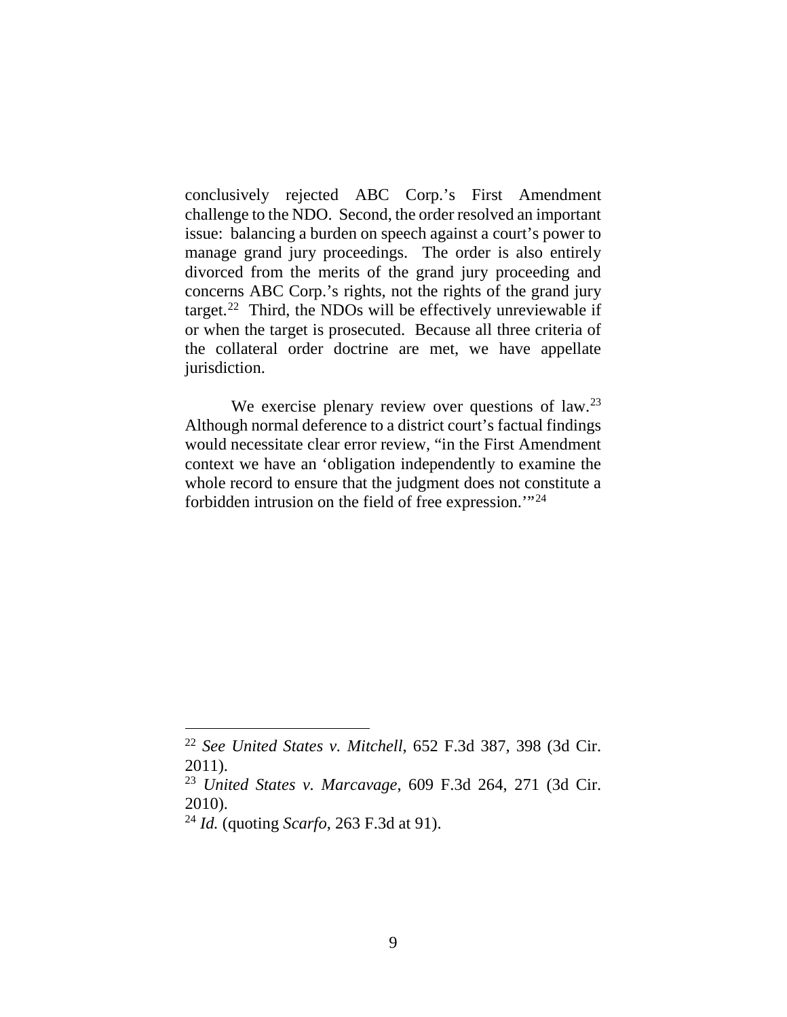conclusively rejected ABC Corp.'s First Amendment challenge to the NDO. Second, the order resolved an important issue: balancing a burden on speech against a court's power to manage grand jury proceedings. The order is also entirely divorced from the merits of the grand jury proceeding and concerns ABC Corp.'s rights, not the rights of the grand jury target.<sup>22</sup> Third, the NDOs will be effectively unreviewable if or when the target is prosecuted. Because all three criteria of the collateral order doctrine are met, we have appellate jurisdiction.

We exercise plenary review over questions of law.<sup>23</sup> Although normal deference to a district court's factual findings would necessitate clear error review, "in the First Amendment context we have an 'obligation independently to examine the whole record to ensure that the judgment does not constitute a forbidden intrusion on the field of free expression.'"24

 <sup>22</sup> *See United States v. Mitchell*, 652 F.3d 387, 398 (3d Cir. 2011).

<sup>23</sup> *United States v. Marcavage*, 609 F.3d 264, 271 (3d Cir. 2010).

<sup>24</sup> *Id.* (quoting *Scarfo*, 263 F.3d at 91).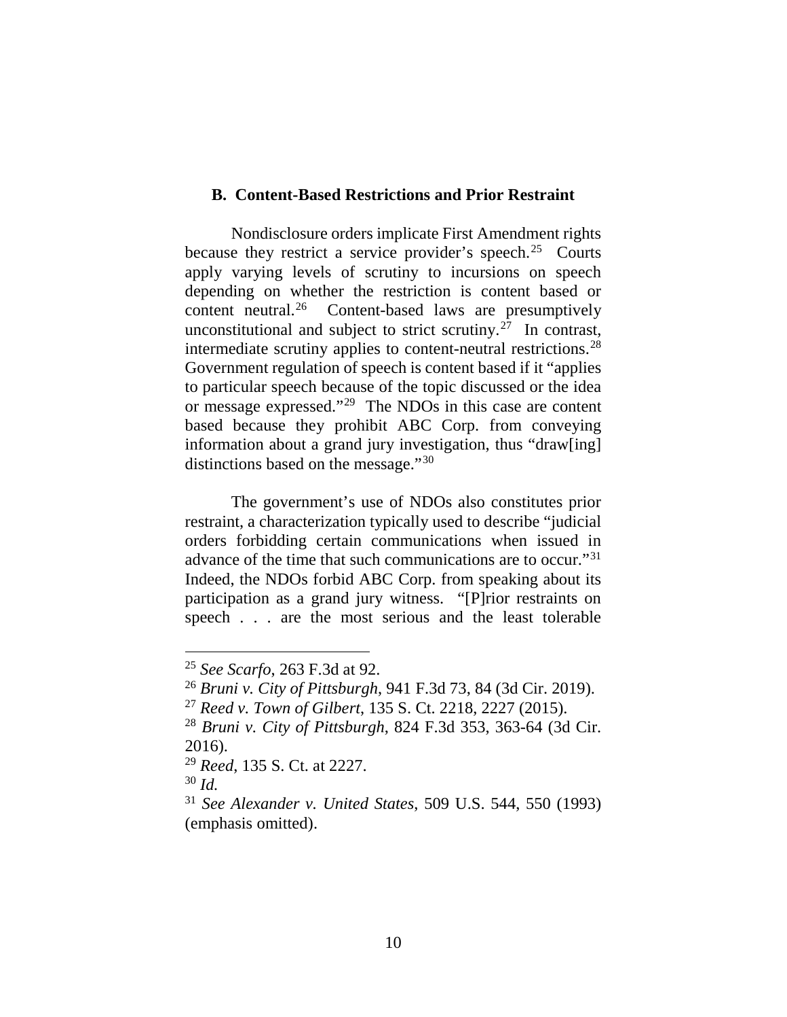## **B. Content-Based Restrictions and Prior Restraint**

Nondisclosure orders implicate First Amendment rights because they restrict a service provider's speech.<sup>25</sup> Courts apply varying levels of scrutiny to incursions on speech depending on whether the restriction is content based or content neutral.26 Content-based laws are presumptively unconstitutional and subject to strict scrutiny.<sup>27</sup> In contrast, intermediate scrutiny applies to content-neutral restrictions.28 Government regulation of speech is content based if it "applies to particular speech because of the topic discussed or the idea or message expressed."29 The NDOs in this case are content based because they prohibit ABC Corp. from conveying information about a grand jury investigation, thus "draw[ing] distinctions based on the message."<sup>30</sup>

The government's use of NDOs also constitutes prior restraint, a characterization typically used to describe "judicial orders forbidding certain communications when issued in advance of the time that such communications are to occur."31 Indeed, the NDOs forbid ABC Corp. from speaking about its participation as a grand jury witness. "[P]rior restraints on speech . . . are the most serious and the least tolerable

<sup>30</sup> *Id.*

 <sup>25</sup> *See Scarfo*, 263 F.3d at 92.

<sup>26</sup> *Bruni v. City of Pittsburgh*, 941 F.3d 73, 84 (3d Cir. 2019).

<sup>27</sup> *Reed v. Town of Gilbert*, 135 S. Ct. 2218, 2227 (2015).

<sup>28</sup> *Bruni v. City of Pittsburgh*, 824 F.3d 353, 363-64 (3d Cir. 2016).

<sup>29</sup> *Reed*, 135 S. Ct. at 2227.

<sup>31</sup> *See Alexander v. United States*, 509 U.S. 544, 550 (1993) (emphasis omitted).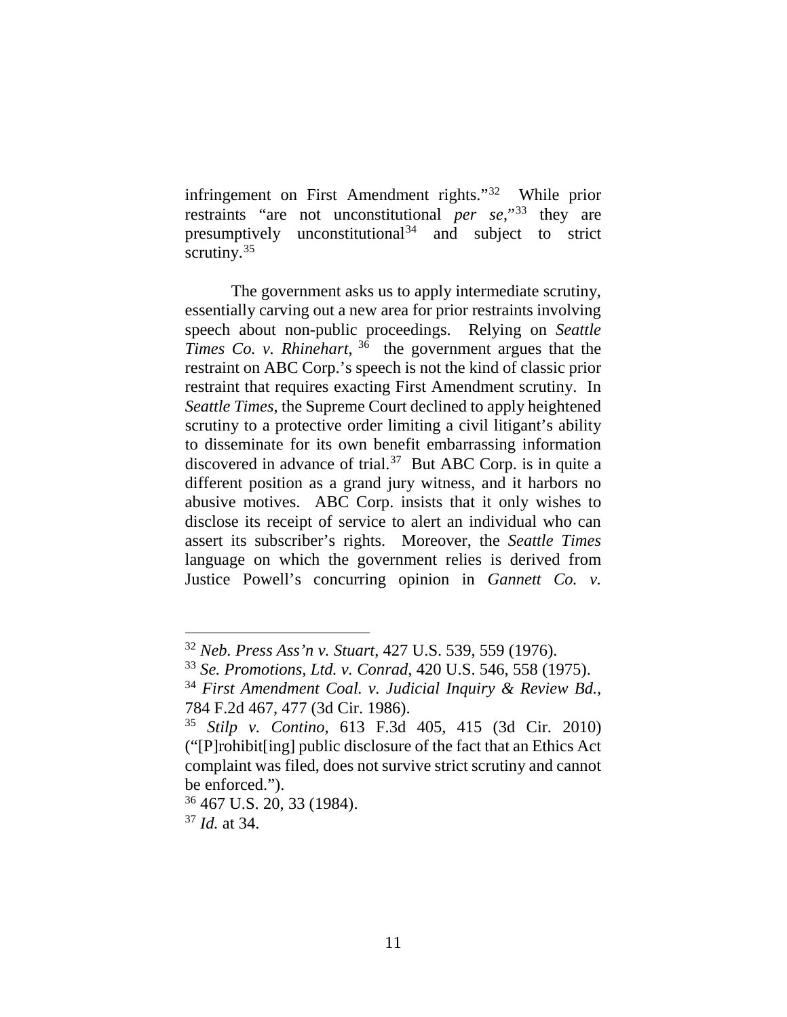infringement on First Amendment rights."32 While prior restraints "are not unconstitutional *per se*,"33 they are presumptively unconstitutional  $34$  and subject to strict scrutiny.<sup>35</sup>

The government asks us to apply intermediate scrutiny, essentially carving out a new area for prior restraints involving speech about non-public proceedings. Relying on *Seattle Times Co. v. Rhinehart*, <sup>36</sup> the government argues that the restraint on ABC Corp.'s speech is not the kind of classic prior restraint that requires exacting First Amendment scrutiny. In *Seattle Times*, the Supreme Court declined to apply heightened scrutiny to a protective order limiting a civil litigant's ability to disseminate for its own benefit embarrassing information discovered in advance of trial.<sup>37</sup> But ABC Corp. is in quite a different position as a grand jury witness, and it harbors no abusive motives. ABC Corp. insists that it only wishes to disclose its receipt of service to alert an individual who can assert its subscriber's rights. Moreover, the *Seattle Times* language on which the government relies is derived from Justice Powell's concurring opinion in *Gannett Co. v.* 

 <sup>32</sup> *Neb. Press Ass'n v. Stuart*, 427 U.S. 539, 559 (1976).

<sup>33</sup> *Se. Promotions, Ltd. v. Conrad*, 420 U.S. 546, 558 (1975).

<sup>34</sup> *First Amendment Coal. v. Judicial Inquiry & Review Bd.,* 784 F.2d 467, 477 (3d Cir. 1986).

<sup>35</sup> *Stilp v. Contino*, 613 F.3d 405, 415 (3d Cir. 2010) ("[P]rohibit[ing] public disclosure of the fact that an Ethics Act complaint was filed, does not survive strict scrutiny and cannot be enforced.").

<sup>36</sup> 467 U.S. 20, 33 (1984).

<sup>37</sup> *Id.* at 34.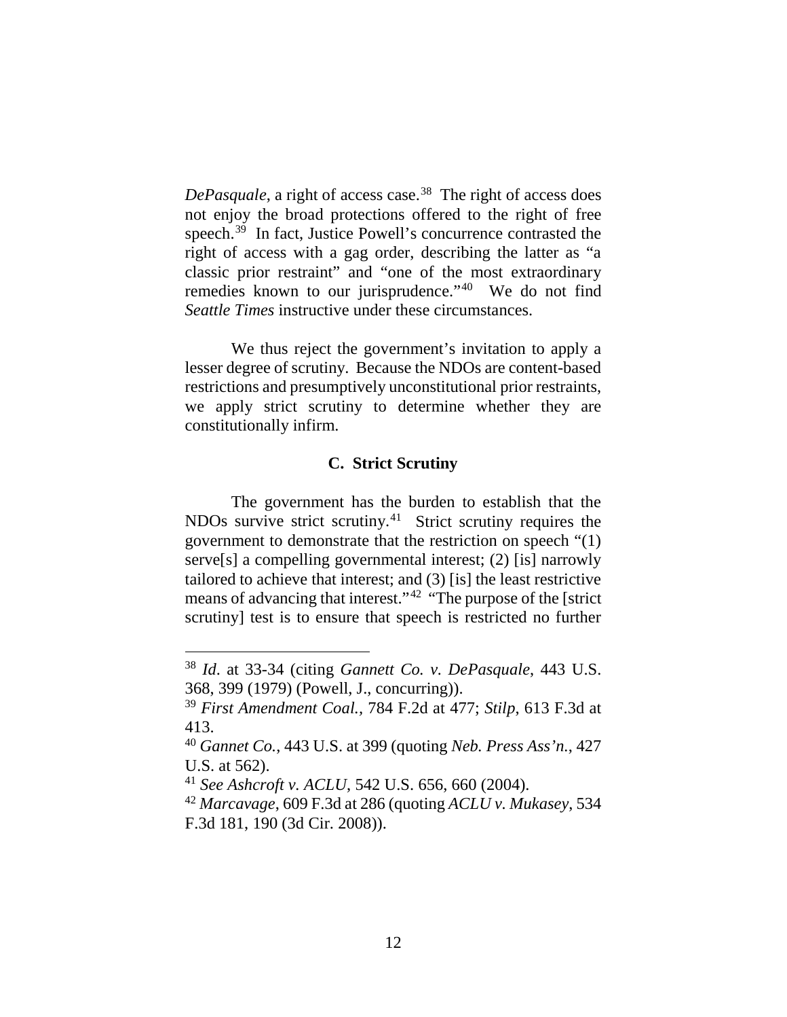*DePasquale*, a right of access case.<sup>38</sup> The right of access does not enjoy the broad protections offered to the right of free speech.<sup>39</sup> In fact, Justice Powell's concurrence contrasted the right of access with a gag order, describing the latter as "a classic prior restraint" and "one of the most extraordinary remedies known to our jurisprudence."40 We do not find *Seattle Times* instructive under these circumstances.

We thus reject the government's invitation to apply a lesser degree of scrutiny. Because the NDOs are content-based restrictions and presumptively unconstitutional prior restraints, we apply strict scrutiny to determine whether they are constitutionally infirm.

## **C. Strict Scrutiny**

The government has the burden to establish that the NDOs survive strict scrutiny.41 Strict scrutiny requires the government to demonstrate that the restriction on speech "(1) serve<sup>[s]</sup> a compelling governmental interest; (2) [is] narrowly tailored to achieve that interest; and (3) [is] the least restrictive means of advancing that interest."42 "The purpose of the [strict scrutiny] test is to ensure that speech is restricted no further

 <sup>38</sup> *Id*. at 33-34 (citing *Gannett Co. v. DePasquale*, 443 U.S. 368, 399 (1979) (Powell, J., concurring)).

<sup>39</sup> *First Amendment Coal.,* 784 F.2d at 477; *Stilp*, 613 F.3d at 413.

<sup>40</sup> *Gannet Co.*, 443 U.S. at 399 (quoting *Neb. Press Ass'n.*, 427 U.S. at 562).

<sup>41</sup> *See Ashcroft v. ACLU*, 542 U.S. 656, 660 (2004).

<sup>42</sup> *Marcavage*, 609 F.3d at 286 (quoting *ACLU v. Mukasey*, 534 F.3d 181, 190 (3d Cir. 2008)).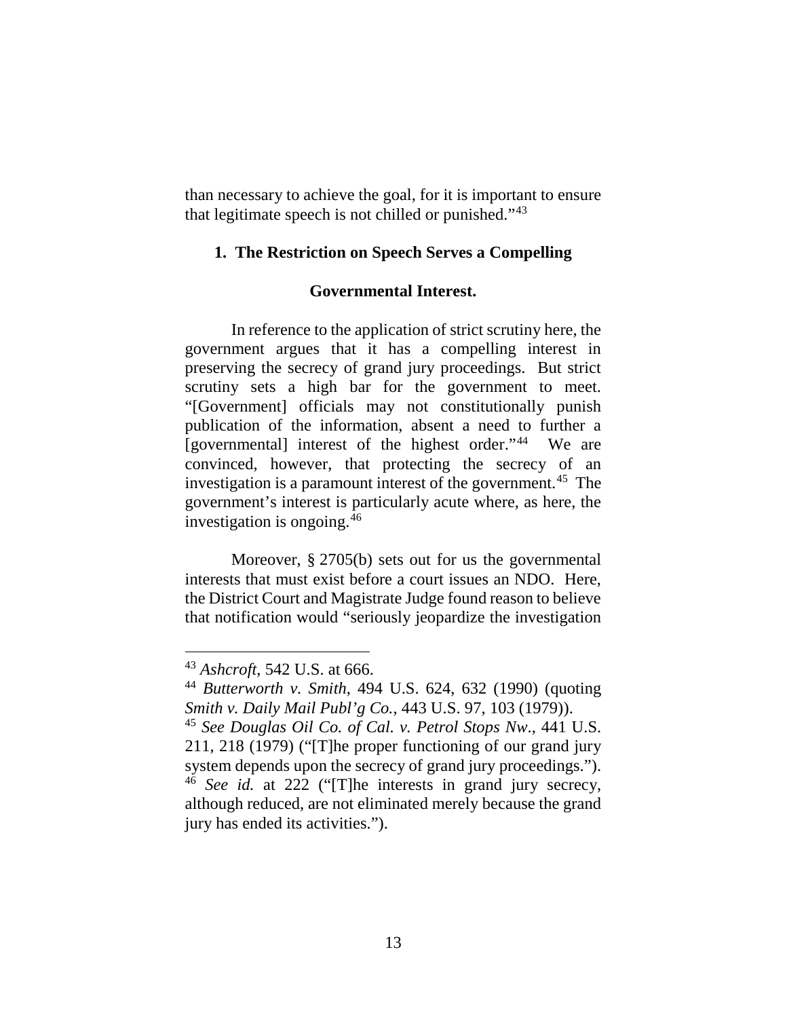than necessary to achieve the goal, for it is important to ensure that legitimate speech is not chilled or punished."43

## **1. The Restriction on Speech Serves a Compelling**

## **Governmental Interest.**

In reference to the application of strict scrutiny here, the government argues that it has a compelling interest in preserving the secrecy of grand jury proceedings. But strict scrutiny sets a high bar for the government to meet. "[Government] officials may not constitutionally punish publication of the information, absent a need to further a [governmental] interest of the highest order."44 We are convinced, however, that protecting the secrecy of an investigation is a paramount interest of the government.<sup>45</sup> The government's interest is particularly acute where, as here, the investigation is ongoing.46

Moreover, § 2705(b) sets out for us the governmental interests that must exist before a court issues an NDO. Here, the District Court and Magistrate Judge found reason to believe that notification would "seriously jeopardize the investigation

 <sup>43</sup> *Ashcroft*, 542 U.S. at 666.

<sup>44</sup> *Butterworth v. Smith*, 494 U.S. 624, 632 (1990) (quoting *Smith v. Daily Mail Publ'g Co.*, 443 U.S. 97, 103 (1979)).

<sup>45</sup> *See Douglas Oil Co. of Cal. v. Petrol Stops Nw*., 441 U.S. 211, 218 (1979) ("[T]he proper functioning of our grand jury system depends upon the secrecy of grand jury proceedings."). <sup>46</sup> *See id.* at 222 ("[T]he interests in grand jury secrecy, although reduced, are not eliminated merely because the grand jury has ended its activities.").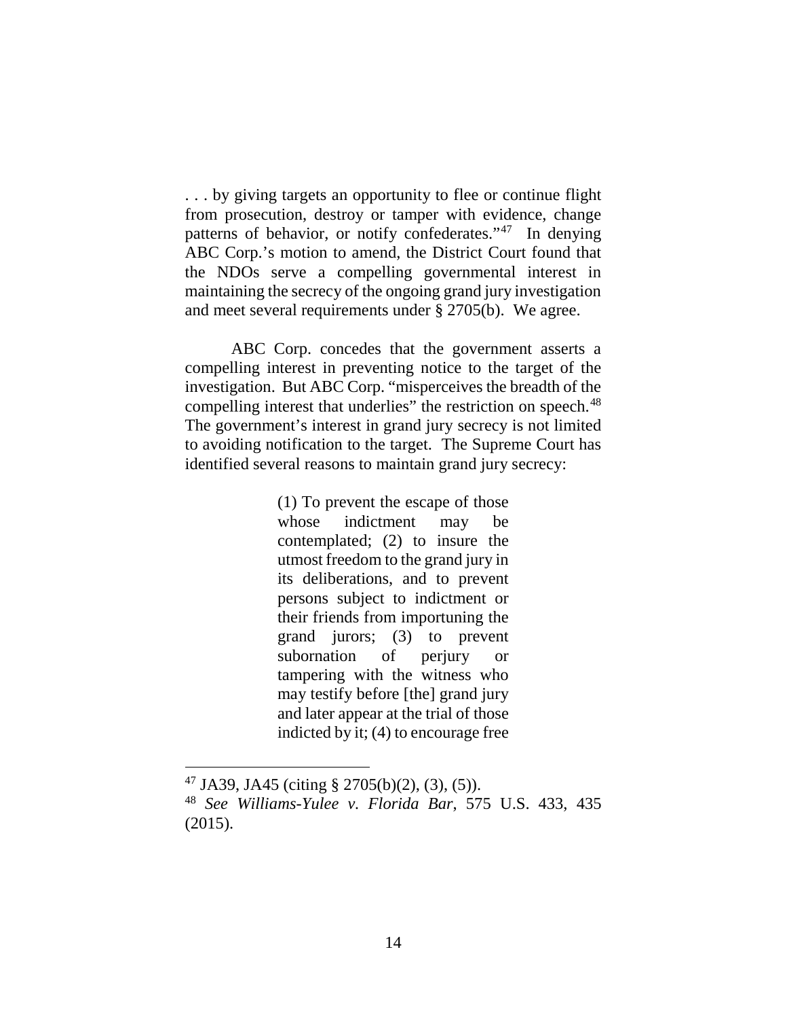. . . by giving targets an opportunity to flee or continue flight from prosecution, destroy or tamper with evidence, change patterns of behavior, or notify confederates."47 In denying ABC Corp.'s motion to amend, the District Court found that the NDOs serve a compelling governmental interest in maintaining the secrecy of the ongoing grand jury investigation and meet several requirements under § 2705(b). We agree.

ABC Corp. concedes that the government asserts a compelling interest in preventing notice to the target of the investigation. But ABC Corp. "misperceives the breadth of the compelling interest that underlies" the restriction on speech.<sup>48</sup> The government's interest in grand jury secrecy is not limited to avoiding notification to the target. The Supreme Court has identified several reasons to maintain grand jury secrecy:

> (1) To prevent the escape of those whose indictment may be contemplated; (2) to insure the utmost freedom to the grand jury in its deliberations, and to prevent persons subject to indictment or their friends from importuning the grand jurors; (3) to prevent subornation of perjury or tampering with the witness who may testify before [the] grand jury and later appear at the trial of those indicted by it; (4) to encourage free

 $47$  JA39, JA45 (citing § 2705(b)(2), (3), (5)).

<sup>48</sup> *See Williams-Yulee v. Florida Bar*, 575 U.S. 433, 435 (2015).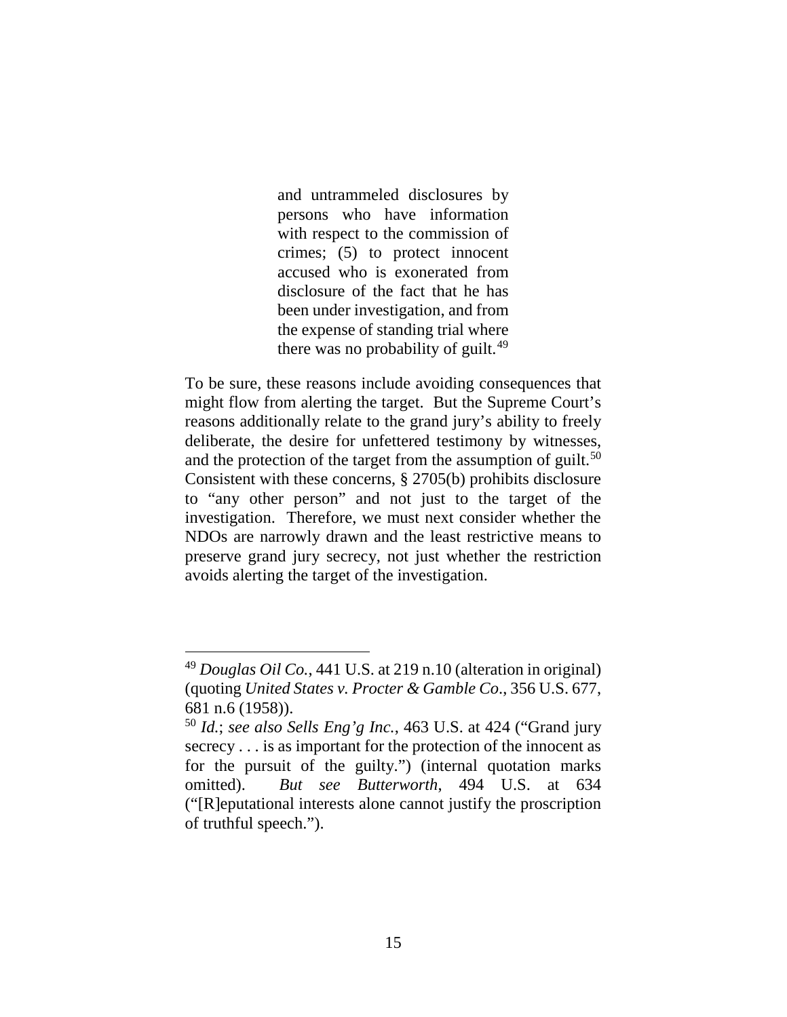and untrammeled disclosures by persons who have information with respect to the commission of crimes; (5) to protect innocent accused who is exonerated from disclosure of the fact that he has been under investigation, and from the expense of standing trial where there was no probability of guilt.<sup>49</sup>

To be sure, these reasons include avoiding consequences that might flow from alerting the target. But the Supreme Court's reasons additionally relate to the grand jury's ability to freely deliberate, the desire for unfettered testimony by witnesses, and the protection of the target from the assumption of guilt.<sup>50</sup> Consistent with these concerns, § 2705(b) prohibits disclosure to "any other person" and not just to the target of the investigation. Therefore, we must next consider whether the NDOs are narrowly drawn and the least restrictive means to preserve grand jury secrecy, not just whether the restriction avoids alerting the target of the investigation.

 <sup>49</sup> *Douglas Oil Co.*, 441 U.S. at 219 n.10 (alteration in original) (quoting *United States v. Procter & Gamble Co*., 356 U.S. 677, 681 n.6 (1958)).

<sup>50</sup> *Id.*; *see also Sells Eng'g Inc.*, 463 U.S. at 424 ("Grand jury secrecy . . . is as important for the protection of the innocent as for the pursuit of the guilty.") (internal quotation marks omitted). *But see Butterworth*, 494 U.S. at 634 ("[R]eputational interests alone cannot justify the proscription of truthful speech.").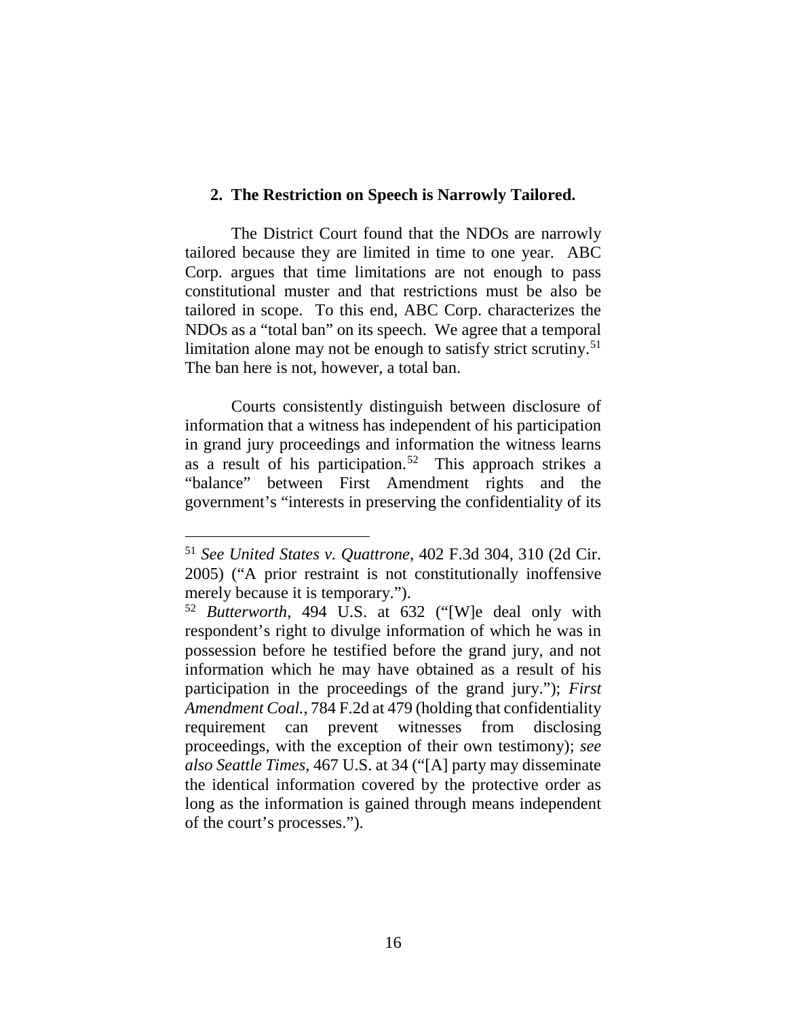#### **2. The Restriction on Speech is Narrowly Tailored.**

The District Court found that the NDOs are narrowly tailored because they are limited in time to one year. ABC Corp. argues that time limitations are not enough to pass constitutional muster and that restrictions must be also be tailored in scope. To this end, ABC Corp. characterizes the NDOs as a "total ban" on its speech. We agree that a temporal limitation alone may not be enough to satisfy strict scrutiny. 51 The ban here is not, however, a total ban.

Courts consistently distinguish between disclosure of information that a witness has independent of his participation in grand jury proceedings and information the witness learns as a result of his participation.<sup>52</sup> This approach strikes a "balance" between First Amendment rights and the government's "interests in preserving the confidentiality of its

 <sup>51</sup> *See United States v. Quattrone*, 402 F.3d 304, 310 (2d Cir. 2005) ("A prior restraint is not constitutionally inoffensive merely because it is temporary.").

<sup>52</sup> *Butterworth*, 494 U.S. at 632 ("[W]e deal only with respondent's right to divulge information of which he was in possession before he testified before the grand jury, and not information which he may have obtained as a result of his participation in the proceedings of the grand jury."); *First Amendment Coal.*, 784 F.2d at 479 (holding that confidentiality requirement can prevent witnesses from disclosing proceedings, with the exception of their own testimony); *see also Seattle Times*, 467 U.S. at 34 ("[A] party may disseminate the identical information covered by the protective order as long as the information is gained through means independent of the court's processes.").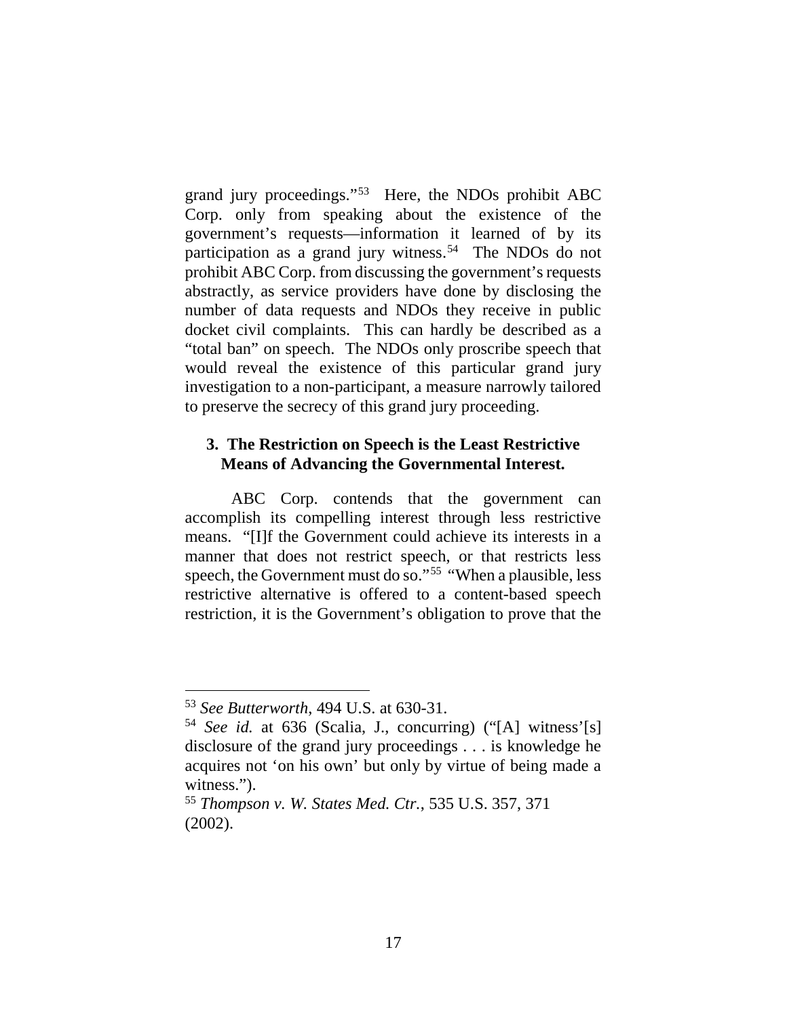grand jury proceedings."53 Here, the NDOs prohibit ABC Corp. only from speaking about the existence of the government's requests—information it learned of by its participation as a grand jury witness.<sup>54</sup> The NDOs do not prohibit ABC Corp. from discussing the government's requests abstractly, as service providers have done by disclosing the number of data requests and NDOs they receive in public docket civil complaints. This can hardly be described as a "total ban" on speech. The NDOs only proscribe speech that would reveal the existence of this particular grand jury investigation to a non-participant, a measure narrowly tailored to preserve the secrecy of this grand jury proceeding.

# **3. The Restriction on Speech is the Least Restrictive Means of Advancing the Governmental Interest.**

ABC Corp. contends that the government can accomplish its compelling interest through less restrictive means. "[I]f the Government could achieve its interests in a manner that does not restrict speech, or that restricts less speech, the Government must do so."55 "When a plausible, less restrictive alternative is offered to a content-based speech restriction, it is the Government's obligation to prove that the

 <sup>53</sup> *See Butterworth*, 494 U.S. at 630-31.

<sup>54</sup> *See id.* at 636 (Scalia, J., concurring) ("[A] witness'[s] disclosure of the grand jury proceedings . . . is knowledge he acquires not 'on his own' but only by virtue of being made a witness.").

<sup>55</sup> *Thompson v. W. States Med. Ctr.*, 535 U.S. 357, 371 (2002).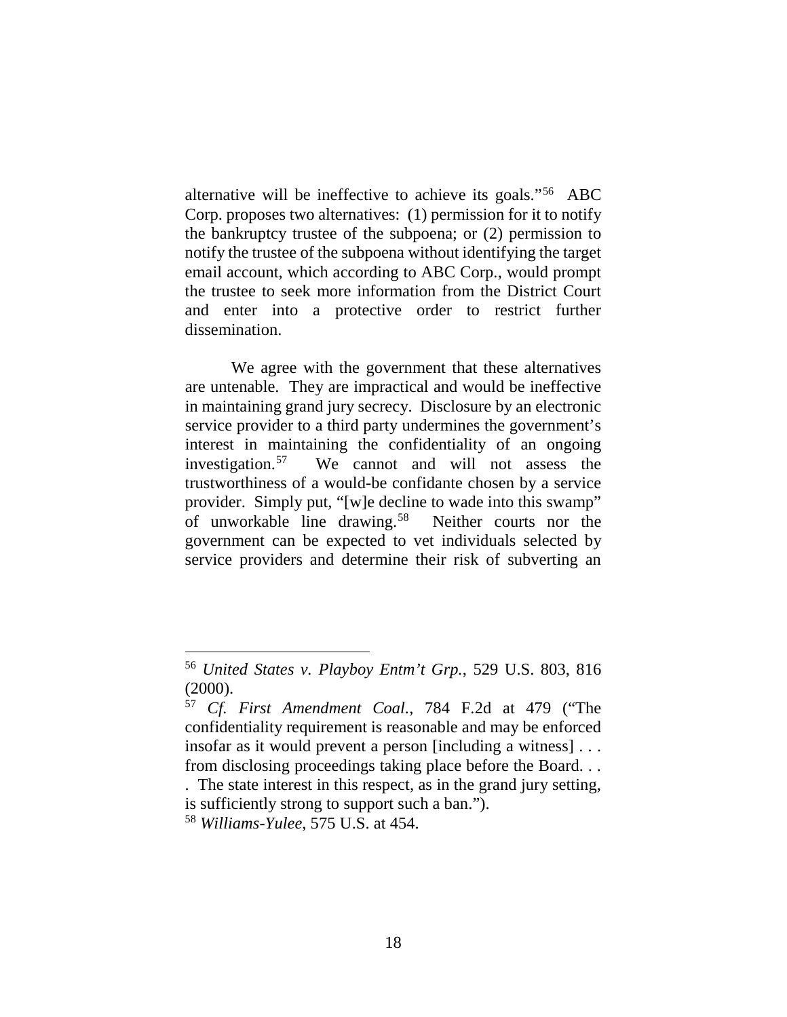alternative will be ineffective to achieve its goals."56 ABC Corp. proposes two alternatives: (1) permission for it to notify the bankruptcy trustee of the subpoena; or (2) permission to notify the trustee of the subpoena without identifying the target email account, which according to ABC Corp., would prompt the trustee to seek more information from the District Court and enter into a protective order to restrict further dissemination.

We agree with the government that these alternatives are untenable. They are impractical and would be ineffective in maintaining grand jury secrecy. Disclosure by an electronic service provider to a third party undermines the government's interest in maintaining the confidentiality of an ongoing investigation.<sup>57</sup> We cannot and will not assess the trustworthiness of a would-be confidante chosen by a service provider. Simply put, "[w]e decline to wade into this swamp" of unworkable line drawing.58 Neither courts nor the government can be expected to vet individuals selected by service providers and determine their risk of subverting an

 <sup>56</sup> *United States v. Playboy Entm't Grp.*, 529 U.S. 803, <sup>816</sup> (2000).

<sup>57</sup> *Cf. First Amendment Coal.*, 784 F.2d at 479 ("The confidentiality requirement is reasonable and may be enforced insofar as it would prevent a person [including a witness] . . . from disclosing proceedings taking place before the Board. . .

<sup>.</sup> The state interest in this respect, as in the grand jury setting, is sufficiently strong to support such a ban.").

<sup>58</sup> *Williams-Yulee*, 575 U.S. at 454.